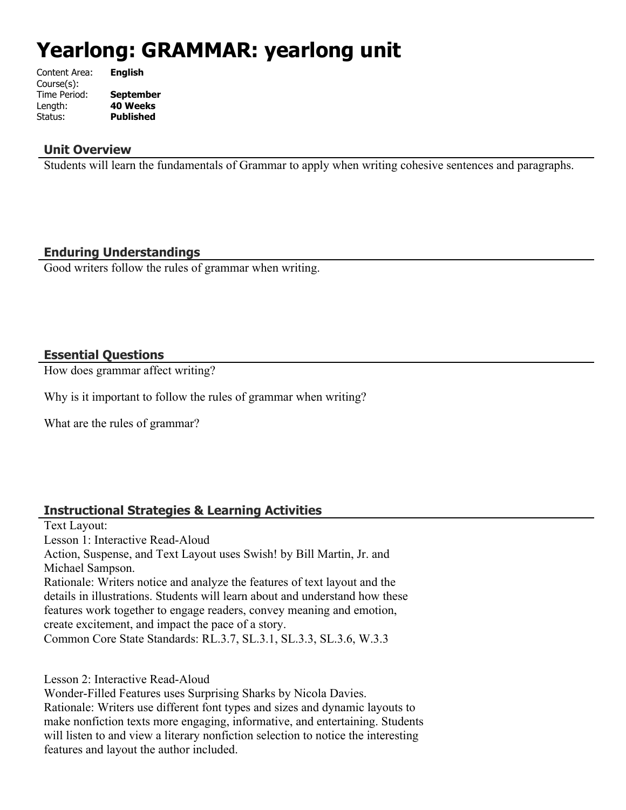# **Yearlong: GRAMMAR: yearlong unit**

| Content Area: | <b>English</b>   |
|---------------|------------------|
| Course(s):    |                  |
| Time Period:  | <b>September</b> |
| Length:       | <b>40 Weeks</b>  |
| Status:       | <b>Published</b> |
|               |                  |

#### **Unit Overview**

Students will learn the fundamentals of Grammar to apply when writing cohesive sentences and paragraphs.

# **Enduring Understandings**

Good writers follow the rules of grammar when writing.

#### **Essential Questions**

How does grammar affect writing?

Why is it important to follow the rules of grammar when writing?

What are the rules of grammar?

# **Instructional Strategies & Learning Activities**

Text Layout: Lesson 1: Interactive Read-Aloud Action, Suspense, and Text Layout uses Swish! by Bill Martin, Jr. and Michael Sampson. Rationale: Writers notice and analyze the features of text layout and the details in illustrations. Students will learn about and understand how these features work together to engage readers, convey meaning and emotion, create excitement, and impact the pace of a story. Common Core State Standards: RL.3.7, SL.3.1, SL.3.3, SL.3.6, W.3.3

Lesson 2: Interactive Read-Aloud

Wonder-Filled Features uses Surprising Sharks by Nicola Davies. Rationale: Writers use different font types and sizes and dynamic layouts to make nonfiction texts more engaging, informative, and entertaining. Students will listen to and view a literary nonfiction selection to notice the interesting features and layout the author included.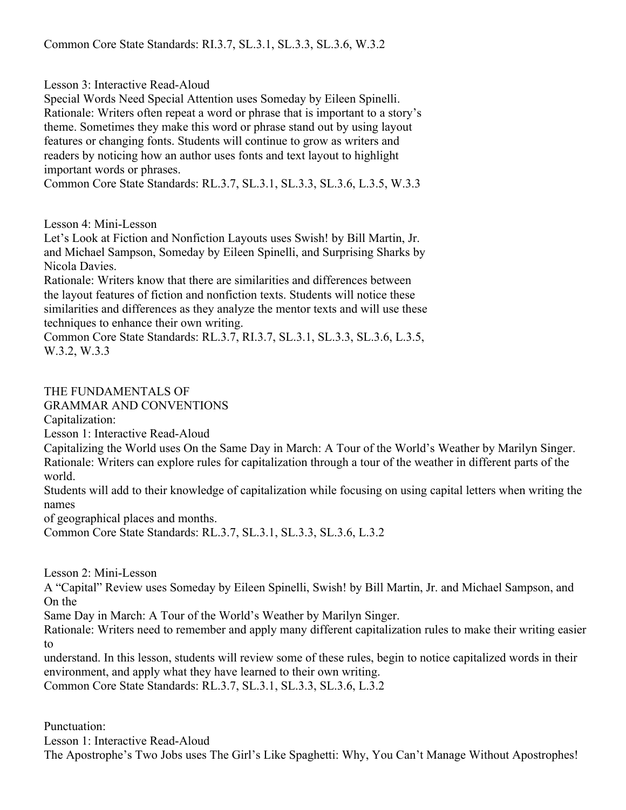Lesson 3: Interactive Read-Aloud

Special Words Need Special Attention uses Someday by Eileen Spinelli. Rationale: Writers often repeat a word or phrase that is important to a story's theme. Sometimes they make this word or phrase stand out by using layout features or changing fonts. Students will continue to grow as writers and readers by noticing how an author uses fonts and text layout to highlight important words or phrases.

Common Core State Standards: RL.3.7, SL.3.1, SL.3.3, SL.3.6, L.3.5, W.3.3

Lesson 4: Mini-Lesson

Let's Look at Fiction and Nonfiction Layouts uses Swish! by Bill Martin, Jr. and Michael Sampson, Someday by Eileen Spinelli, and Surprising Sharks by Nicola Davies.

Rationale: Writers know that there are similarities and differences between the layout features of fiction and nonfiction texts. Students will notice these similarities and differences as they analyze the mentor texts and will use these techniques to enhance their own writing.

Common Core State Standards: RL.3.7, RI.3.7, SL.3.1, SL.3.3, SL.3.6, L.3.5, W.3.2, W.3.3

THE FUNDAMENTALS OF GRAMMAR AND CONVENTIONS

Capitalization:

Lesson 1: Interactive Read-Aloud

Capitalizing the World uses On the Same Day in March: A Tour of the World's Weather by Marilyn Singer. Rationale: Writers can explore rules for capitalization through a tour of the weather in different parts of the world.

Students will add to their knowledge of capitalization while focusing on using capital letters when writing the names

of geographical places and months.

Common Core State Standards: RL.3.7, SL.3.1, SL.3.3, SL.3.6, L.3.2

Lesson 2: Mini-Lesson

A "Capital" Review uses Someday by Eileen Spinelli, Swish! by Bill Martin, Jr. and Michael Sampson, and On the

Same Day in March: A Tour of the World's Weather by Marilyn Singer.

Rationale: Writers need to remember and apply many different capitalization rules to make their writing easier to

understand. In this lesson, students will review some of these rules, begin to notice capitalized words in their environment, and apply what they have learned to their own writing. Common Core State Standards: RL.3.7, SL.3.1, SL.3.3, SL.3.6, L.3.2

Punctuation:

Lesson 1: Interactive Read-Aloud The Apostrophe's Two Jobs uses The Girl's Like Spaghetti: Why, You Can't Manage Without Apostrophes!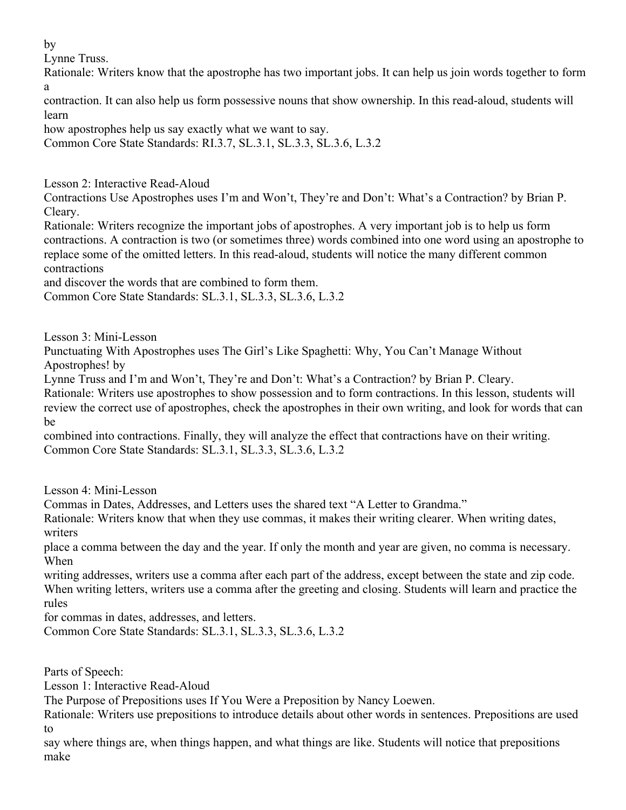by

Lynne Truss.

Rationale: Writers know that the apostrophe has two important jobs. It can help us join words together to form a

contraction. It can also help us form possessive nouns that show ownership. In this read-aloud, students will learn

how apostrophes help us say exactly what we want to say.

Common Core State Standards: RI.3.7, SL.3.1, SL.3.3, SL.3.6, L.3.2

Lesson 2: Interactive Read-Aloud

Contractions Use Apostrophes uses I'm and Won't, They're and Don't: What's a Contraction? by Brian P. Cleary.

Rationale: Writers recognize the important jobs of apostrophes. A very important job is to help us form contractions. A contraction is two (or sometimes three) words combined into one word using an apostrophe to replace some of the omitted letters. In this read-aloud, students will notice the many different common contractions

and discover the words that are combined to form them.

Common Core State Standards: SL.3.1, SL.3.3, SL.3.6, L.3.2

Lesson 3: Mini-Lesson

Punctuating With Apostrophes uses The Girl's Like Spaghetti: Why, You Can't Manage Without Apostrophes! by

Lynne Truss and I'm and Won't, They're and Don't: What's a Contraction? by Brian P. Cleary.

Rationale: Writers use apostrophes to show possession and to form contractions. In this lesson, students will review the correct use of apostrophes, check the apostrophes in their own writing, and look for words that can be

combined into contractions. Finally, they will analyze the effect that contractions have on their writing. Common Core State Standards: SL.3.1, SL.3.3, SL.3.6, L.3.2

Lesson 4: Mini-Lesson

Commas in Dates, Addresses, and Letters uses the shared text "A Letter to Grandma."

Rationale: Writers know that when they use commas, it makes their writing clearer. When writing dates, writers

place a comma between the day and the year. If only the month and year are given, no comma is necessary. When

writing addresses, writers use a comma after each part of the address, except between the state and zip code. When writing letters, writers use a comma after the greeting and closing. Students will learn and practice the rules

for commas in dates, addresses, and letters.

Common Core State Standards: SL.3.1, SL.3.3, SL.3.6, L.3.2

Parts of Speech:

Lesson 1: Interactive Read-Aloud

The Purpose of Prepositions uses If You Were a Preposition by Nancy Loewen.

Rationale: Writers use prepositions to introduce details about other words in sentences. Prepositions are used to

say where things are, when things happen, and what things are like. Students will notice that prepositions make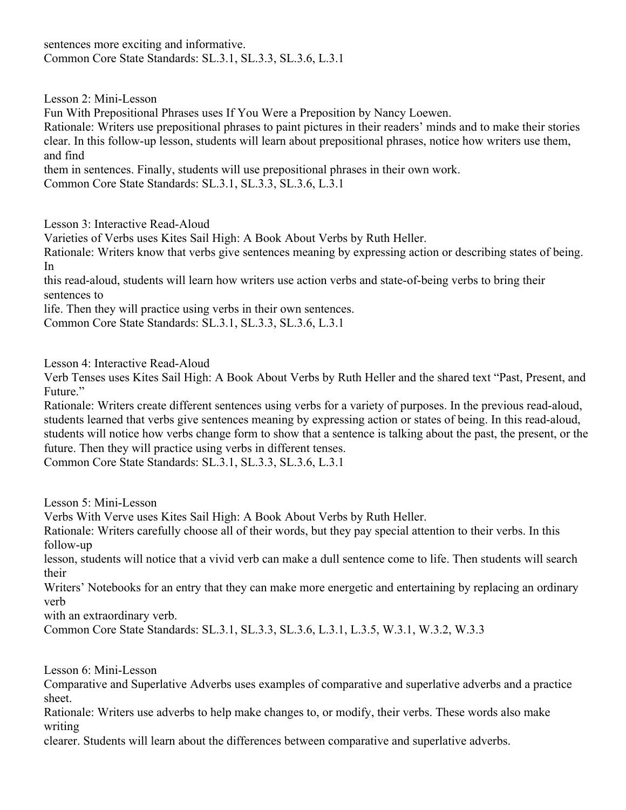sentences more exciting and informative. Common Core State Standards: SL.3.1, SL.3.3, SL.3.6, L.3.1

Lesson 2: Mini-Lesson

Fun With Prepositional Phrases uses If You Were a Preposition by Nancy Loewen.

Rationale: Writers use prepositional phrases to paint pictures in their readers' minds and to make their stories clear. In this follow-up lesson, students will learn about prepositional phrases, notice how writers use them, and find

them in sentences. Finally, students will use prepositional phrases in their own work.

Common Core State Standards: SL.3.1, SL.3.3, SL.3.6, L.3.1

Lesson 3: Interactive Read-Aloud

Varieties of Verbs uses Kites Sail High: A Book About Verbs by Ruth Heller.

Rationale: Writers know that verbs give sentences meaning by expressing action or describing states of being. In

this read-aloud, students will learn how writers use action verbs and state-of-being verbs to bring their sentences to

life. Then they will practice using verbs in their own sentences.

Common Core State Standards: SL.3.1, SL.3.3, SL.3.6, L.3.1

Lesson 4: Interactive Read-Aloud

Verb Tenses uses Kites Sail High: A Book About Verbs by Ruth Heller and the shared text "Past, Present, and Future."

Rationale: Writers create different sentences using verbs for a variety of purposes. In the previous read-aloud, students learned that verbs give sentences meaning by expressing action or states of being. In this read-aloud, students will notice how verbs change form to show that a sentence is talking about the past, the present, or the future. Then they will practice using verbs in different tenses.

Common Core State Standards: SL.3.1, SL.3.3, SL.3.6, L.3.1

Lesson 5: Mini-Lesson

Verbs With Verve uses Kites Sail High: A Book About Verbs by Ruth Heller.

Rationale: Writers carefully choose all of their words, but they pay special attention to their verbs. In this follow-up

lesson, students will notice that a vivid verb can make a dull sentence come to life. Then students will search their

Writers' Notebooks for an entry that they can make more energetic and entertaining by replacing an ordinary verb

with an extraordinary verb.

Common Core State Standards: SL.3.1, SL.3.3, SL.3.6, L.3.1, L.3.5, W.3.1, W.3.2, W.3.3

Lesson 6: Mini-Lesson

Comparative and Superlative Adverbs uses examples of comparative and superlative adverbs and a practice sheet.

Rationale: Writers use adverbs to help make changes to, or modify, their verbs. These words also make writing

clearer. Students will learn about the differences between comparative and superlative adverbs.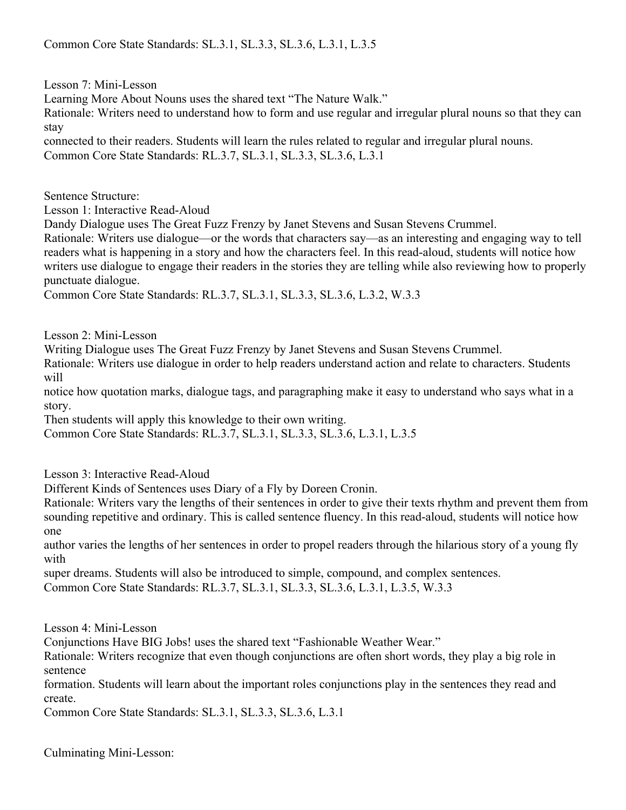Lesson 7: Mini-Lesson

Learning More About Nouns uses the shared text "The Nature Walk."

Rationale: Writers need to understand how to form and use regular and irregular plural nouns so that they can stay

connected to their readers. Students will learn the rules related to regular and irregular plural nouns. Common Core State Standards: RL.3.7, SL.3.1, SL.3.3, SL.3.6, L.3.1

Sentence Structure:

Lesson 1: Interactive Read-Aloud

Dandy Dialogue uses The Great Fuzz Frenzy by Janet Stevens and Susan Stevens Crummel.

Rationale: Writers use dialogue—or the words that characters say—as an interesting and engaging way to tell readers what is happening in a story and how the characters feel. In this read-aloud, students will notice how writers use dialogue to engage their readers in the stories they are telling while also reviewing how to properly punctuate dialogue.

Common Core State Standards: RL.3.7, SL.3.1, SL.3.3, SL.3.6, L.3.2, W.3.3

Lesson 2: Mini-Lesson

Writing Dialogue uses The Great Fuzz Frenzy by Janet Stevens and Susan Stevens Crummel.

Rationale: Writers use dialogue in order to help readers understand action and relate to characters. Students will

notice how quotation marks, dialogue tags, and paragraphing make it easy to understand who says what in a story.

Then students will apply this knowledge to their own writing.

Common Core State Standards: RL.3.7, SL.3.1, SL.3.3, SL.3.6, L.3.1, L.3.5

Lesson 3: Interactive Read-Aloud

Different Kinds of Sentences uses Diary of a Fly by Doreen Cronin.

Rationale: Writers vary the lengths of their sentences in order to give their texts rhythm and prevent them from sounding repetitive and ordinary. This is called sentence fluency. In this read-aloud, students will notice how one

author varies the lengths of her sentences in order to propel readers through the hilarious story of a young fly with

super dreams. Students will also be introduced to simple, compound, and complex sentences. Common Core State Standards: RL.3.7, SL.3.1, SL.3.3, SL.3.6, L.3.1, L.3.5, W.3.3

Lesson 4: Mini-Lesson

Conjunctions Have BIG Jobs! uses the shared text "Fashionable Weather Wear."

Rationale: Writers recognize that even though conjunctions are often short words, they play a big role in sentence

formation. Students will learn about the important roles conjunctions play in the sentences they read and create.

Common Core State Standards: SL.3.1, SL.3.3, SL.3.6, L.3.1

Culminating Mini-Lesson: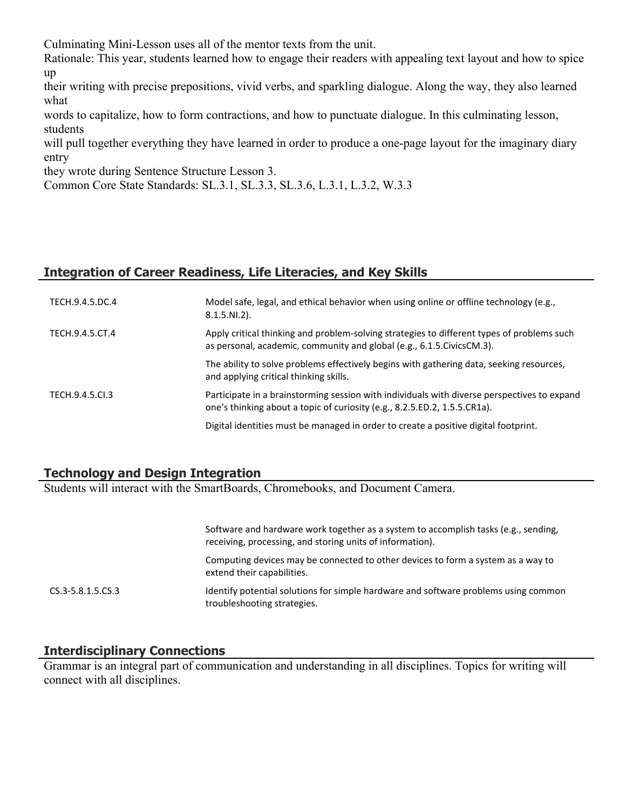Culminating Mini-Lesson uses all of the mentor texts from the unit.

Rationale: This year, students learned how to engage their readers with appealing text layout and how to spice up

their writing with precise prepositions, vivid verbs, and sparkling dialogue. Along the way, they also learned what

words to capitalize, how to form contractions, and how to punctuate dialogue. In this culminating lesson, students

will pull together everything they have learned in order to produce a one-page layout for the imaginary diary entry

they wrote during Sentence Structure Lesson 3.

Common Core State Standards: SL.3.1, SL.3.3, SL.3.6, L.3.1, L.3.2, W.3.3

# **Integration of Career Readiness, Life Literacies, and Key Skills**

| TECH.9.4.5.DC.4 | Model safe, legal, and ethical behavior when using online or offline technology (e.g.,<br>$8.1.5.NI.2$ ).                                                                |
|-----------------|--------------------------------------------------------------------------------------------------------------------------------------------------------------------------|
| TECH.9.4.5.CT.4 | Apply critical thinking and problem-solving strategies to different types of problems such<br>as personal, academic, community and global (e.g., 6.1.5. Civics CM.3).    |
|                 | The ability to solve problems effectively begins with gathering data, seeking resources,<br>and applying critical thinking skills.                                       |
| TECH.9.4.5.CL3  | Participate in a brainstorming session with individuals with diverse perspectives to expand<br>one's thinking about a topic of curiosity (e.g., 8.2.5.ED.2, 1.5.5.CR1a). |
|                 | Digital identities must be managed in order to create a positive digital footprint.                                                                                      |

#### **Technology and Design Integration**

Students will interact with the SmartBoards, Chromebooks, and Document Camera.

|                   | Software and hardware work together as a system to accomplish tasks (e.g., sending,<br>receiving, processing, and storing units of information). |
|-------------------|--------------------------------------------------------------------------------------------------------------------------------------------------|
|                   | Computing devices may be connected to other devices to form a system as a way to<br>extend their capabilities.                                   |
| CS.3-5.8.1.5.CS.3 | Identify potential solutions for simple hardware and software problems using common<br>troubleshooting strategies.                               |

#### **Interdisciplinary Connections**

Grammar is an integral part of communication and understanding in all disciplines. Topics for writing will connect with all disciplines.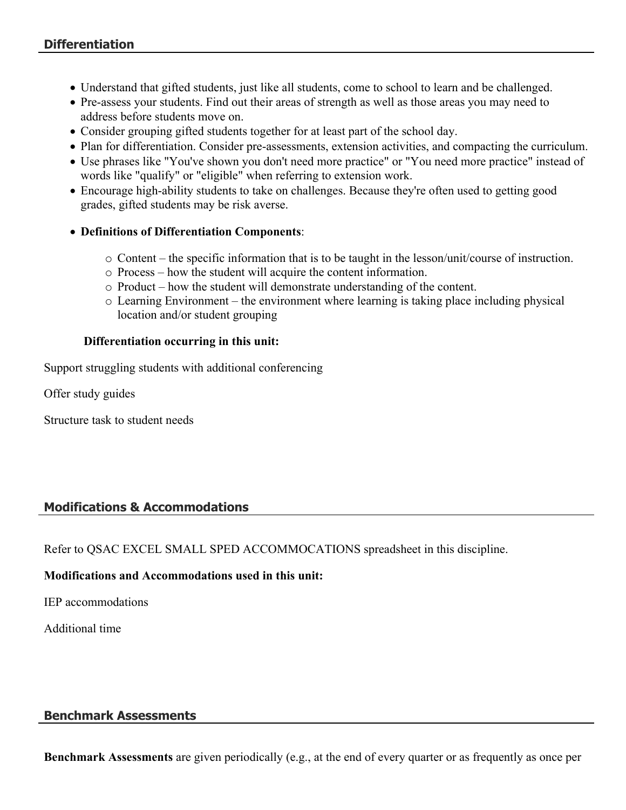- Understand that gifted students, just like all students, come to school to learn and be challenged.
- Pre-assess your students. Find out their areas of strength as well as those areas you may need to address before students move on.
- Consider grouping gifted students together for at least part of the school day.
- Plan for differentiation. Consider pre-assessments, extension activities, and compacting the curriculum.
- Use phrases like "You've shown you don't need more practice" or "You need more practice" instead of words like "qualify" or "eligible" when referring to extension work.
- Encourage high-ability students to take on challenges. Because they're often used to getting good grades, gifted students may be risk averse.
- **Definitions of Differentiation Components**:
	- o Content the specific information that is to be taught in the lesson/unit/course of instruction.
	- o Process how the student will acquire the content information.
	- o Product how the student will demonstrate understanding of the content.
	- o Learning Environment the environment where learning is taking place including physical location and/or student grouping

#### **Differentiation occurring in this unit:**

Support struggling students with additional conferencing

Offer study guides

Structure task to student needs

# **Modifications & Accommodations**

Refer to QSAC EXCEL SMALL SPED ACCOMMOCATIONS spreadsheet in this discipline.

#### **Modifications and Accommodations used in this unit:**

IEP accommodations

Additional time

#### **Benchmark Assessments**

**Benchmark Assessments** are given periodically (e.g., at the end of every quarter or as frequently as once per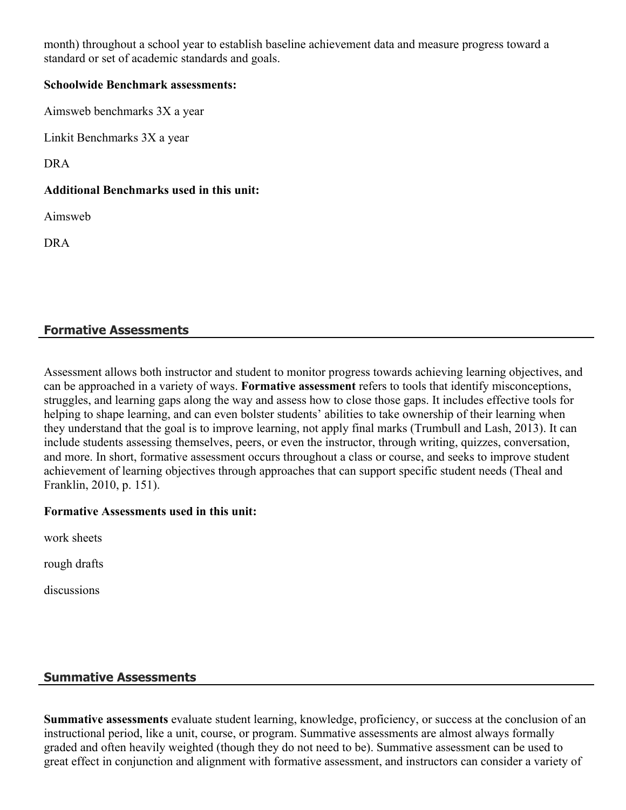month) throughout a school year to establish baseline achievement data and measure progress toward a standard or set of academic standards and goals.

#### **Schoolwide Benchmark assessments:**

Aimsweb benchmarks 3X a year

Linkit Benchmarks 3X a year

DRA

#### **Additional Benchmarks used in this unit:**

Aimsweb

DRA

# **Formative Assessments**

Assessment allows both instructor and student to monitor progress towards achieving learning objectives, and can be approached in a variety of ways. **Formative assessment** refers to tools that identify misconceptions, struggles, and learning gaps along the way and assess how to close those gaps. It includes effective tools for helping to shape learning, and can even bolster students' abilities to take ownership of their learning when they understand that the goal is to improve learning, not apply final marks (Trumbull and Lash, 2013). It can include students assessing themselves, peers, or even the instructor, through writing, quizzes, conversation, and more. In short, formative assessment occurs throughout a class or course, and seeks to improve student achievement of learning objectives through approaches that can support specific student needs (Theal and Franklin, 2010, p. 151).

#### **Formative Assessments used in this unit:**

work sheets

rough drafts

discussions

# **Summative Assessments**

**Summative assessments** evaluate student learning, knowledge, proficiency, or success at the conclusion of an instructional period, like a unit, course, or program. Summative assessments are almost always formally graded and often heavily weighted (though they do not need to be). Summative assessment can be used to great effect in conjunction and alignment with formative assessment, and instructors can consider a variety of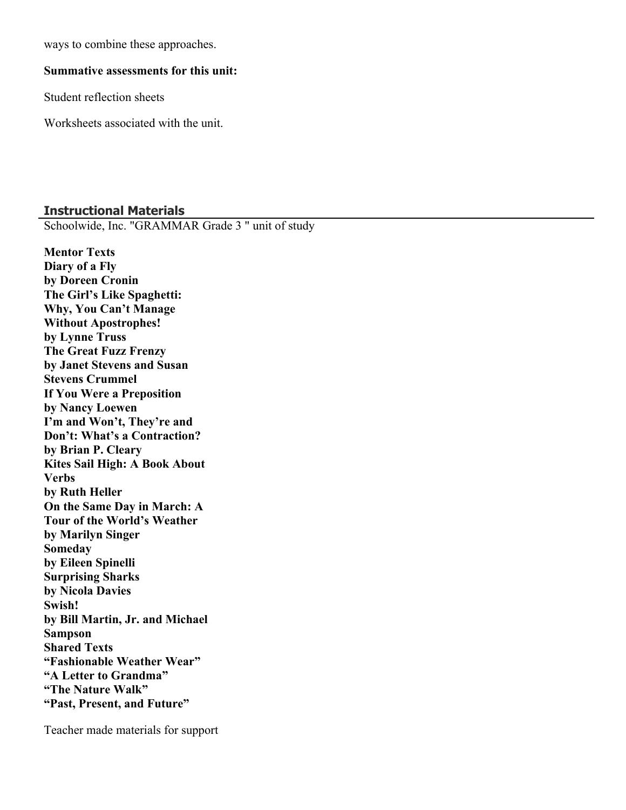ways to combine these approaches.

#### **Summative assessments for this unit:**

Student reflection sheets

Worksheets associated with the unit.

#### **Instructional Materials**

Schoolwide, Inc. "GRAMMAR Grade 3 " unit of study

**Mentor Texts Diary of a Fly by Doreen Cronin The Girl's Like Spaghetti: Why, You Can't Manage Without Apostrophes! by Lynne Truss The Great Fuzz Frenzy by Janet Stevens and Susan Stevens Crummel If You Were a Preposition by Nancy Loewen I'm and Won't, They're and Don't: What's a Contraction? by Brian P. Cleary Kites Sail High: A Book About Verbs by Ruth Heller On the Same Day in March: A Tour of the World's Weather by Marilyn Singer Someday by Eileen Spinelli Surprising Sharks by Nicola Davies Swish! by Bill Martin, Jr. and Michael Sampson Shared Texts "Fashionable Weather Wear" "A Letter to Grandma" "The Nature Walk" "Past, Present, and Future"**

Teacher made materials for support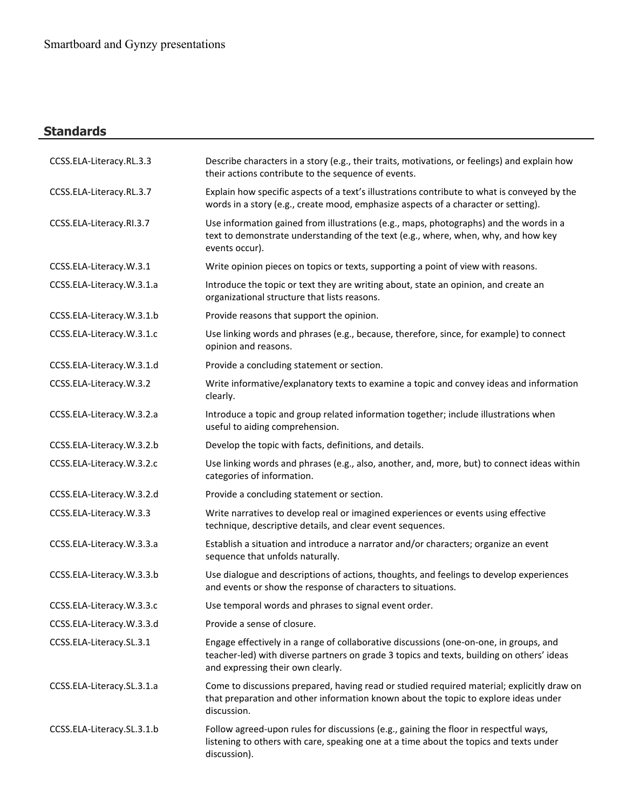# **Standards**

| CCSS.ELA-Literacy.RL.3.3   | Describe characters in a story (e.g., their traits, motivations, or feelings) and explain how<br>their actions contribute to the sequence of events.                                                                     |
|----------------------------|--------------------------------------------------------------------------------------------------------------------------------------------------------------------------------------------------------------------------|
| CCSS.ELA-Literacy.RL.3.7   | Explain how specific aspects of a text's illustrations contribute to what is conveyed by the<br>words in a story (e.g., create mood, emphasize aspects of a character or setting).                                       |
| CCSS.ELA-Literacy.RI.3.7   | Use information gained from illustrations (e.g., maps, photographs) and the words in a<br>text to demonstrate understanding of the text (e.g., where, when, why, and how key<br>events occur).                           |
| CCSS.ELA-Literacy.W.3.1    | Write opinion pieces on topics or texts, supporting a point of view with reasons.                                                                                                                                        |
| CCSS.ELA-Literacy.W.3.1.a  | Introduce the topic or text they are writing about, state an opinion, and create an<br>organizational structure that lists reasons.                                                                                      |
| CCSS.ELA-Literacy.W.3.1.b  | Provide reasons that support the opinion.                                                                                                                                                                                |
| CCSS.ELA-Literacy.W.3.1.c  | Use linking words and phrases (e.g., because, therefore, since, for example) to connect<br>opinion and reasons.                                                                                                          |
| CCSS.ELA-Literacy.W.3.1.d  | Provide a concluding statement or section.                                                                                                                                                                               |
| CCSS.ELA-Literacy.W.3.2    | Write informative/explanatory texts to examine a topic and convey ideas and information<br>clearly.                                                                                                                      |
| CCSS.ELA-Literacy.W.3.2.a  | Introduce a topic and group related information together; include illustrations when<br>useful to aiding comprehension.                                                                                                  |
| CCSS.ELA-Literacy.W.3.2.b  | Develop the topic with facts, definitions, and details.                                                                                                                                                                  |
| CCSS.ELA-Literacy.W.3.2.c  | Use linking words and phrases (e.g., also, another, and, more, but) to connect ideas within<br>categories of information.                                                                                                |
| CCSS.ELA-Literacy.W.3.2.d  | Provide a concluding statement or section.                                                                                                                                                                               |
| CCSS.ELA-Literacy.W.3.3    | Write narratives to develop real or imagined experiences or events using effective<br>technique, descriptive details, and clear event sequences.                                                                         |
| CCSS.ELA-Literacy.W.3.3.a  | Establish a situation and introduce a narrator and/or characters; organize an event<br>sequence that unfolds naturally.                                                                                                  |
| CCSS.ELA-Literacy.W.3.3.b  | Use dialogue and descriptions of actions, thoughts, and feelings to develop experiences<br>and events or show the response of characters to situations.                                                                  |
| CCSS.ELA-Literacy.W.3.3.c  | Use temporal words and phrases to signal event order.                                                                                                                                                                    |
| CCSS.ELA-Literacy.W.3.3.d  | Provide a sense of closure.                                                                                                                                                                                              |
| CCSS.ELA-Literacy.SL.3.1   | Engage effectively in a range of collaborative discussions (one-on-one, in groups, and<br>teacher-led) with diverse partners on grade 3 topics and texts, building on others' ideas<br>and expressing their own clearly. |
| CCSS.ELA-Literacy.SL.3.1.a | Come to discussions prepared, having read or studied required material; explicitly draw on<br>that preparation and other information known about the topic to explore ideas under<br>discussion.                         |
| CCSS.ELA-Literacy.SL.3.1.b | Follow agreed-upon rules for discussions (e.g., gaining the floor in respectful ways,<br>listening to others with care, speaking one at a time about the topics and texts under<br>discussion).                          |